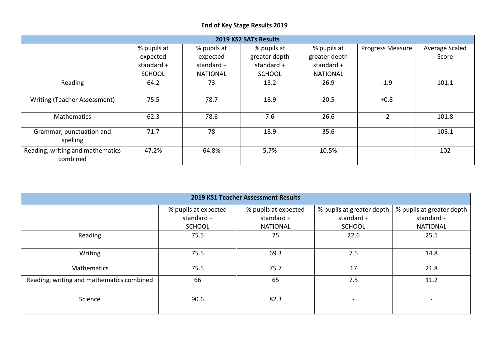## **End of Key Stage Results 2019**

| 2019 KS2 SATs Results                        |               |                 |               |                 |                  |                |  |  |  |  |  |
|----------------------------------------------|---------------|-----------------|---------------|-----------------|------------------|----------------|--|--|--|--|--|
|                                              | % pupils at   | % pupils at     | % pupils at   | % pupils at     | Progress Measure | Average Scaled |  |  |  |  |  |
|                                              | expected      | expected        | greater depth | greater depth   |                  | Score          |  |  |  |  |  |
|                                              | standard $+$  | standard $+$    | standard $+$  | standard +      |                  |                |  |  |  |  |  |
|                                              | <b>SCHOOL</b> | <b>NATIONAL</b> | <b>SCHOOL</b> | <b>NATIONAL</b> |                  |                |  |  |  |  |  |
| Reading                                      | 64.2          | 73              | 13.2          | 26.9            | $-1.9$           | 101.1          |  |  |  |  |  |
| Writing (Teacher Assessment)                 | 75.5          | 78.7            | 18.9          | 20.5            | $+0.8$           |                |  |  |  |  |  |
| <b>Mathematics</b>                           | 62.3          | 78.6            | 7.6           | 26.6            | $-2$             | 101.8          |  |  |  |  |  |
| Grammar, punctuation and<br>spelling         | 71.7          | 78              | 18.9          | 35.6            |                  | 103.1          |  |  |  |  |  |
| Reading, writing and mathematics<br>combined | 47.2%         | 64.8%           | 5.7%          | 10.5%           |                  | 102            |  |  |  |  |  |

| 2019 KS1 Teacher Assessment Results       |                      |                      |                           |                           |  |  |  |  |  |  |
|-------------------------------------------|----------------------|----------------------|---------------------------|---------------------------|--|--|--|--|--|--|
|                                           | % pupils at expected | % pupils at expected | % pupils at greater depth | % pupils at greater depth |  |  |  |  |  |  |
|                                           | standard +           | standard +           | standard +                | standard +                |  |  |  |  |  |  |
|                                           | <b>SCHOOL</b>        | <b>NATIONAL</b>      | <b>SCHOOL</b>             | <b>NATIONAL</b>           |  |  |  |  |  |  |
| Reading                                   | 75.5                 | 75                   | 22.6                      | 25.1                      |  |  |  |  |  |  |
| Writing                                   | 75.5                 | 69.3                 | 7.5                       | 14.8                      |  |  |  |  |  |  |
| Mathematics                               | 75.5                 | 75.7                 | 17                        | 21.8                      |  |  |  |  |  |  |
| Reading, writing and mathematics combined | 66                   | 65                   | 7.5                       | 11.2                      |  |  |  |  |  |  |
| Science                                   | 90.6                 | 82.3                 |                           |                           |  |  |  |  |  |  |